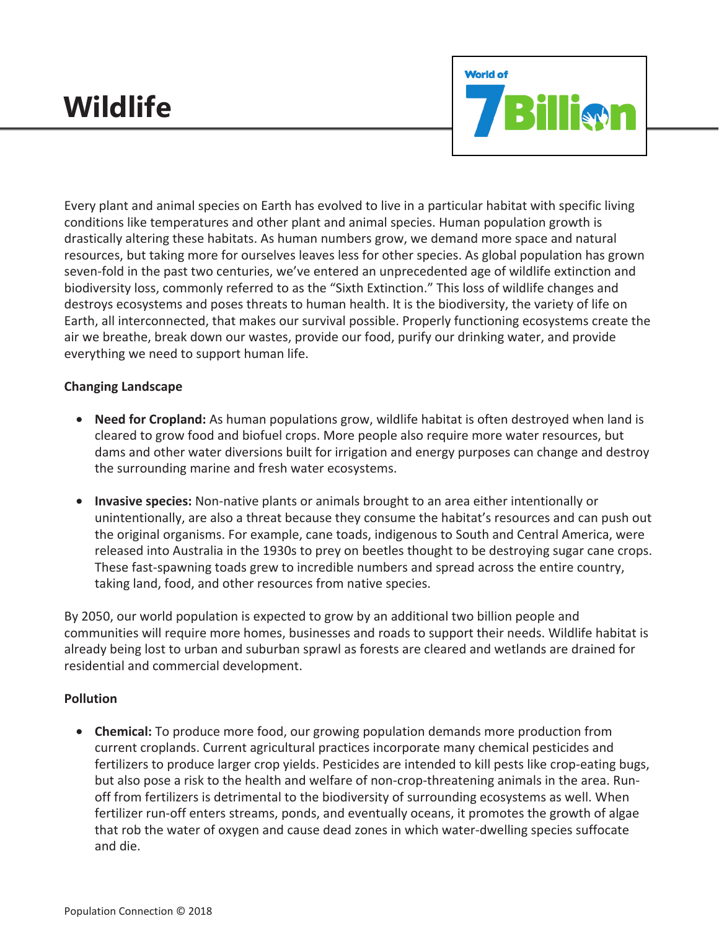# **Wildlife**



Every plant and animal species on Earth has evolved to live in a particular habitat with specific living conditions like temperatures and other plant and animal species. Human population growth is drastically altering these habitats. As human numbers grow, we demand more space and natural resources, but taking more for ourselves leaves less for other species. As global population has grown seven-fold in the past two centuries, we've entered an unprecedented age of wildlife extinction and biodiversity loss, commonly referred to as the "Sixth Extinction." This loss of wildlife changes and destroys ecosystems and poses threats to human health. It is the biodiversity, the variety of life on Earth, all interconnected, that makes our survival possible. Properly functioning ecosystems create the air we breathe, break down our wastes, provide our food, purify our drinking water, and provide everything we need to support human life.

## **Changing Landscape**

- **Need for Cropland:** As human populations grow, wildlife habitat is often destroyed when land is cleared to grow food and biofuel crops. More people also require more water resources, but dams and other water diversions built for irrigation and energy purposes can change and destroy the surrounding marine and fresh water ecosystems.
- **Invasive species:** Non-native plants or animals brought to an area either intentionally or unintentionally, are also a threat because they consume the habitat's resources and can push out the original organisms. For example, cane toads, indigenous to South and Central America, were released into Australia in the 1930s to prey on beetles thought to be destroying sugar cane crops. These fast-spawning toads grew to incredible numbers and spread across the entire country, taking land, food, and other resources from native species.

By 2050, our world population is expected to grow by an additional two billion people and communities will require more homes, businesses and roads to support their needs. Wildlife habitat is already being lost to urban and suburban sprawl as forests are cleared and wetlands are drained for residential and commercial development.

### **Pollution**

• **Chemical:** To produce more food, our growing population demands more production from current croplands. Current agricultural practices incorporate many chemical pesticides and fertilizers to produce larger crop yields. Pesticides are intended to kill pests like crop-eating bugs, but also pose a risk to the health and welfare of non-crop-threatening animals in the area. Runoff from fertilizers is detrimental to the biodiversity of surrounding ecosystems as well. When fertilizer run-off enters streams, ponds, and eventually oceans, it promotes the growth of algae that rob the water of oxygen and cause dead zones in which water-dwelling species suffocate and die.